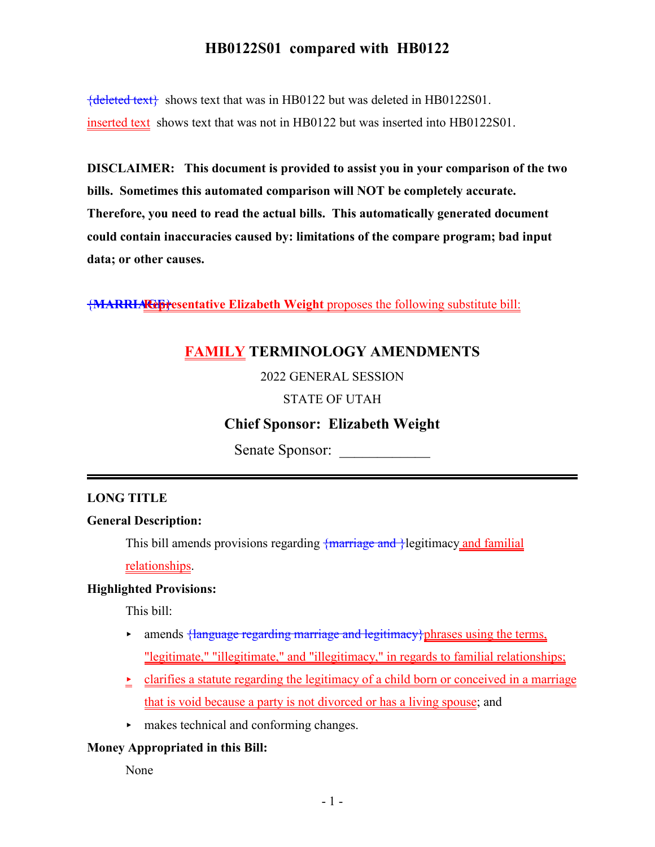${deleted text}$  shows text that was in HB0122 but was deleted in HB0122S01. inserted text shows text that was not in HB0122 but was inserted into HB0122S01.

**DISCLAIMER: This document is provided to assist you in your comparison of the two bills. Sometimes this automated comparison will NOT be completely accurate. Therefore, you need to read the actual bills. This automatically generated document could contain inaccuracies caused by: limitations of the compare program; bad input data; or other causes.**

{**MARRIAGE Representative Elizabeth Weight** } proposes the following substitute bill:

# **FAMILY TERMINOLOGY AMENDMENTS**

2022 GENERAL SESSION

### STATE OF UTAH

# **Chief Sponsor: Elizabeth Weight**

Senate Sponsor:

### **LONG TITLE**

#### **General Description:**

This bill amends provisions regarding  $\frac{1}{2}$  marriage and  $\frac{1}{2}$  legitimacy and familial

relationships.

#### **Highlighted Provisions:**

This bill:

- **Follow Franguage regarding marriage and legitimacy**} phrases using the terms, "legitimate," "illegitimate," and "illegitimacy," in regards to familial relationships;
- $\geq$  clarifies a statute regarding the legitimacy of a child born or conceived in a marriage that is void because a party is not divorced or has a living spouse; and
- $\blacktriangleright$  makes technical and conforming changes.

#### **Money Appropriated in this Bill:**

None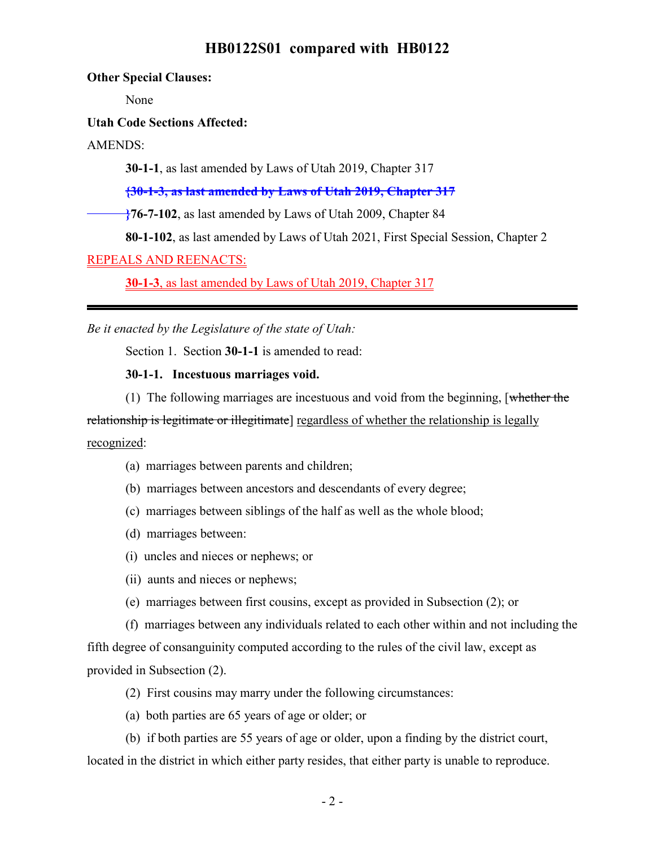**Other Special Clauses:**

None

**Utah Code Sections Affected:**

AMENDS:

**30-1-1**, as last amended by Laws of Utah 2019, Chapter 317

**{30-1-3, as last amended by Laws of Utah 2019, Chapter 317**

<sup>2</sup>76-7-102, as last amended by Laws of Utah 2009, Chapter 84

**80-1-102**, as last amended by Laws of Utah 2021, First Special Session, Chapter 2

REPEALS AND REENACTS:

**30-1-3**, as last amended by Laws of Utah 2019, Chapter 317

*Be it enacted by the Legislature of the state of Utah:*

Section 1. Section **30-1-1** is amended to read:

**30-1-1. Incestuous marriages void.**

(1) The following marriages are incestuous and void from the beginning, [whether the relationship is legitimate or illegitimate. The regardless of whether the relationship is legally recognized:

- (a) marriages between parents and children;
- (b) marriages between ancestors and descendants of every degree;
- (c) marriages between siblings of the half as well as the whole blood;
- (d) marriages between:
- (i) uncles and nieces or nephews; or
- (ii) aunts and nieces or nephews;
- (e) marriages between first cousins, except as provided in Subsection (2); or

(f) marriages between any individuals related to each other within and not including the fifth degree of consanguinity computed according to the rules of the civil law, except as provided in Subsection (2).

- (2) First cousins may marry under the following circumstances:
- (a) both parties are 65 years of age or older; or

(b) if both parties are 55 years of age or older, upon a finding by the district court, located in the district in which either party resides, that either party is unable to reproduce.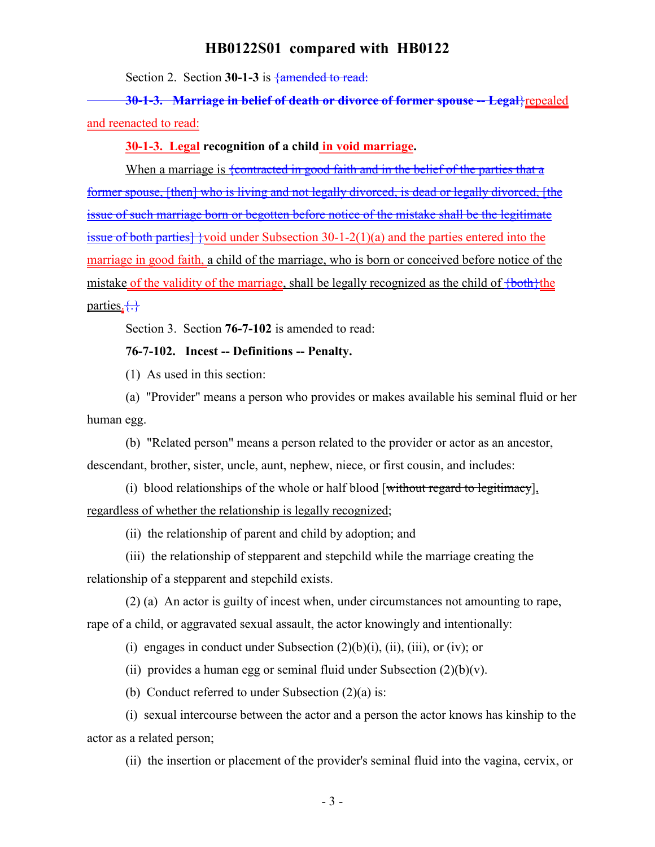Section 2. Section 30-1-3 is  $\frac{1}{4}$  amended to read:

**30-1-3. Marriage in belief of death or divorce of former spouse -- Legal**}repealed and reenacted to read:

#### **30-1-3. Legal recognition of a child in void marriage.**

When a marriage is  $\frac{1}{2}$  (contracted in good faith and in the belief of the parties that a former spouse, [then] who is living and not legally divorced, is dead or legally divorced, [the issue of such marriage born or begotten before notice of the mistake shall be the legitimate issue of both parties]  $\{void$  under Subsection 30-1-2(1)(a) and the parties entered into the marriage in good faith, a child of the marriage, who is born or conceived before notice of the mistake of the validity of the marriage, shall be legally recognized as the child of  $\{\text{both}\}$ the parties. $\{\cdot\}$ 

Section 3. Section **76-7-102** is amended to read:

#### **76-7-102. Incest -- Definitions -- Penalty.**

(1) As used in this section:

(a) "Provider" means a person who provides or makes available his seminal fluid or her human egg.

(b) "Related person" means a person related to the provider or actor as an ancestor, descendant, brother, sister, uncle, aunt, nephew, niece, or first cousin, and includes:

(i) blood relationships of the whole or half blood [without regard to legitimacy], regardless of whether the relationship is legally recognized;

(ii) the relationship of parent and child by adoption; and

(iii) the relationship of stepparent and stepchild while the marriage creating the relationship of a stepparent and stepchild exists.

(2) (a) An actor is guilty of incest when, under circumstances not amounting to rape, rape of a child, or aggravated sexual assault, the actor knowingly and intentionally:

(i) engages in conduct under Subsection  $(2)(b)(i)$ , (ii), (iii), or (iv); or

(ii) provides a human egg or seminal fluid under Subsection  $(2)(b)(v)$ .

(b) Conduct referred to under Subsection  $(2)(a)$  is:

(i) sexual intercourse between the actor and a person the actor knows has kinship to the actor as a related person;

(ii) the insertion or placement of the provider's seminal fluid into the vagina, cervix, or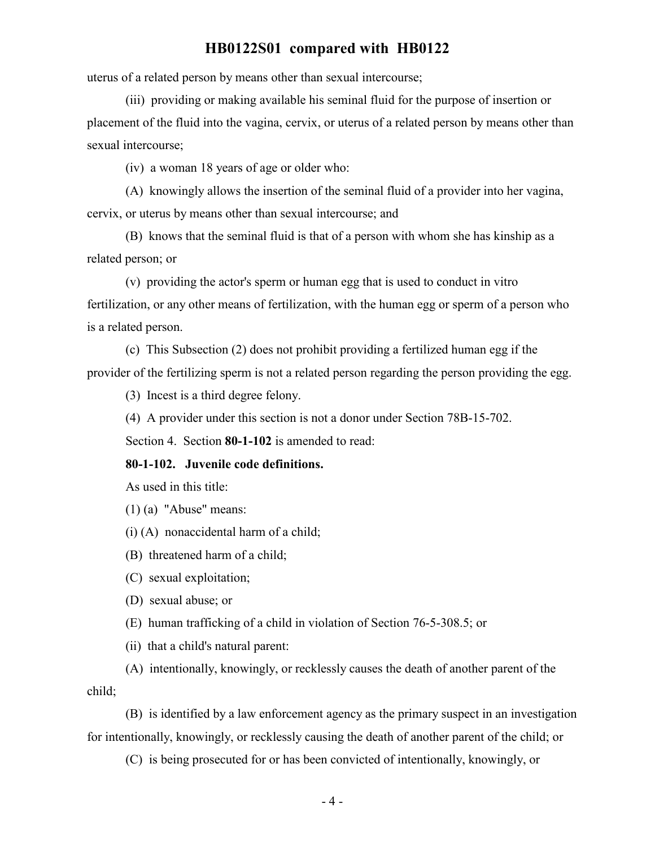uterus of a related person by means other than sexual intercourse;

(iii) providing or making available his seminal fluid for the purpose of insertion or placement of the fluid into the vagina, cervix, or uterus of a related person by means other than sexual intercourse;

(iv) a woman 18 years of age or older who:

(A) knowingly allows the insertion of the seminal fluid of a provider into her vagina, cervix, or uterus by means other than sexual intercourse; and

(B) knows that the seminal fluid is that of a person with whom she has kinship as a related person; or

(v) providing the actor's sperm or human egg that is used to conduct in vitro fertilization, or any other means of fertilization, with the human egg or sperm of a person who is a related person.

(c) This Subsection (2) does not prohibit providing a fertilized human egg if the provider of the fertilizing sperm is not a related person regarding the person providing the egg.

(3) Incest is a third degree felony.

(4) A provider under this section is not a donor under Section 78B-15-702.

Section 4. Section **80-1-102** is amended to read:

#### **80-1-102. Juvenile code definitions.**

As used in this title:

(1) (a) "Abuse" means:

(i) (A) nonaccidental harm of a child;

(B) threatened harm of a child;

(C) sexual exploitation;

(D) sexual abuse; or

(E) human trafficking of a child in violation of Section 76-5-308.5; or

(ii) that a child's natural parent:

(A) intentionally, knowingly, or recklessly causes the death of another parent of the child;

(B) is identified by a law enforcement agency as the primary suspect in an investigation for intentionally, knowingly, or recklessly causing the death of another parent of the child; or

(C) is being prosecuted for or has been convicted of intentionally, knowingly, or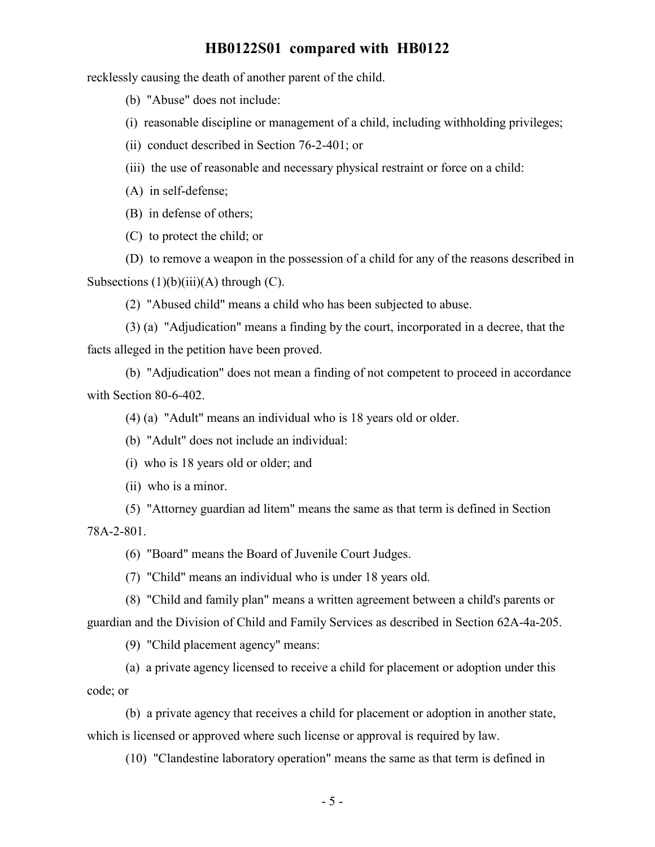recklessly causing the death of another parent of the child.

(b) "Abuse" does not include:

(i) reasonable discipline or management of a child, including withholding privileges;

(ii) conduct described in Section 76-2-401; or

(iii) the use of reasonable and necessary physical restraint or force on a child:

(A) in self-defense;

(B) in defense of others;

(C) to protect the child; or

(D) to remove a weapon in the possession of a child for any of the reasons described in Subsections  $(1)(b)(iii)(A)$  through  $(C)$ .

(2) "Abused child" means a child who has been subjected to abuse.

(3) (a) "Adjudication" means a finding by the court, incorporated in a decree, that the facts alleged in the petition have been proved.

(b) "Adjudication" does not mean a finding of not competent to proceed in accordance with Section 80-6-402.

(4) (a) "Adult" means an individual who is 18 years old or older.

(b) "Adult" does not include an individual:

(i) who is 18 years old or older; and

(ii) who is a minor.

(5) "Attorney guardian ad litem" means the same as that term is defined in Section 78A-2-801.

(6) "Board" means the Board of Juvenile Court Judges.

(7) "Child" means an individual who is under 18 years old.

(8) "Child and family plan" means a written agreement between a child's parents or guardian and the Division of Child and Family Services as described in Section 62A-4a-205.

(9) "Child placement agency" means:

(a) a private agency licensed to receive a child for placement or adoption under this code; or

(b) a private agency that receives a child for placement or adoption in another state, which is licensed or approved where such license or approval is required by law.

(10) "Clandestine laboratory operation" means the same as that term is defined in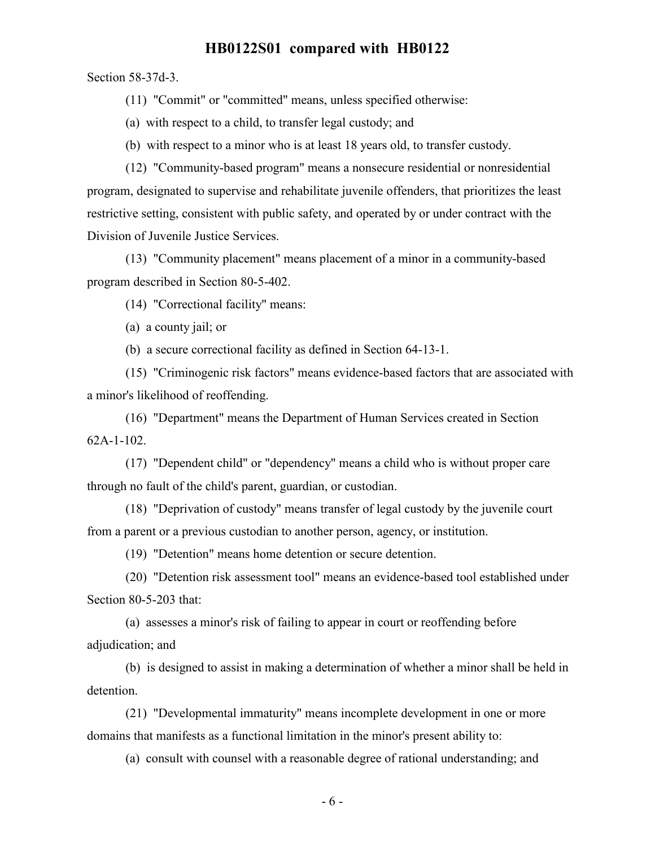Section 58-37d-3.

(11) "Commit" or "committed" means, unless specified otherwise:

(a) with respect to a child, to transfer legal custody; and

(b) with respect to a minor who is at least 18 years old, to transfer custody.

(12) "Community-based program" means a nonsecure residential or nonresidential program, designated to supervise and rehabilitate juvenile offenders, that prioritizes the least restrictive setting, consistent with public safety, and operated by or under contract with the Division of Juvenile Justice Services.

(13) "Community placement" means placement of a minor in a community-based program described in Section 80-5-402.

(14) "Correctional facility" means:

(a) a county jail; or

(b) a secure correctional facility as defined in Section 64-13-1.

(15) "Criminogenic risk factors" means evidence-based factors that are associated with a minor's likelihood of reoffending.

(16) "Department" means the Department of Human Services created in Section 62A-1-102.

(17) "Dependent child" or "dependency" means a child who is without proper care through no fault of the child's parent, guardian, or custodian.

(18) "Deprivation of custody" means transfer of legal custody by the juvenile court from a parent or a previous custodian to another person, agency, or institution.

(19) "Detention" means home detention or secure detention.

(20) "Detention risk assessment tool" means an evidence-based tool established under Section 80-5-203 that:

(a) assesses a minor's risk of failing to appear in court or reoffending before adjudication; and

(b) is designed to assist in making a determination of whether a minor shall be held in detention.

(21) "Developmental immaturity" means incomplete development in one or more domains that manifests as a functional limitation in the minor's present ability to:

(a) consult with counsel with a reasonable degree of rational understanding; and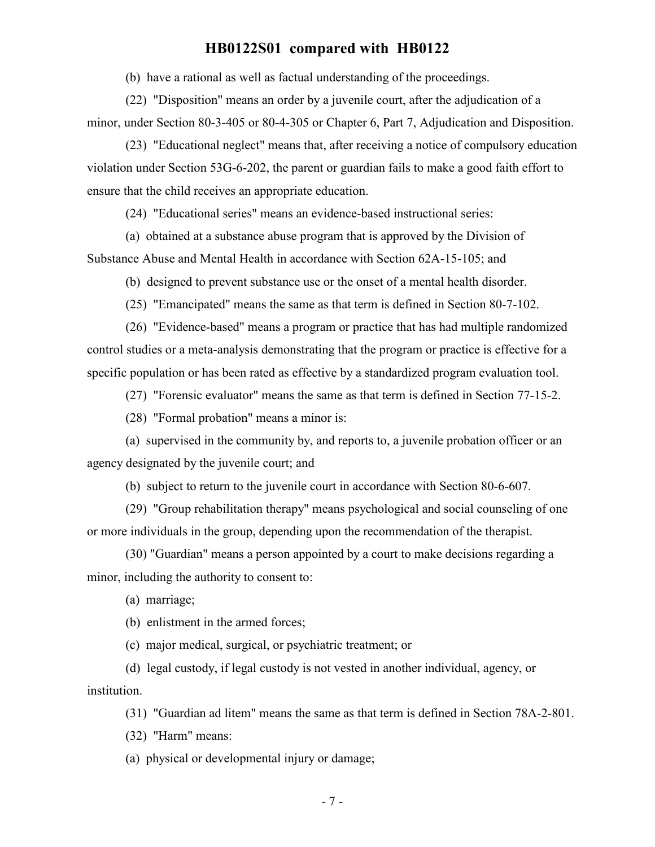(b) have a rational as well as factual understanding of the proceedings.

(22) "Disposition" means an order by a juvenile court, after the adjudication of a minor, under Section 80-3-405 or 80-4-305 or Chapter 6, Part 7, Adjudication and Disposition.

(23) "Educational neglect" means that, after receiving a notice of compulsory education violation under Section 53G-6-202, the parent or guardian fails to make a good faith effort to ensure that the child receives an appropriate education.

(24) "Educational series" means an evidence-based instructional series:

(a) obtained at a substance abuse program that is approved by the Division of Substance Abuse and Mental Health in accordance with Section 62A-15-105; and

(b) designed to prevent substance use or the onset of a mental health disorder.

(25) "Emancipated" means the same as that term is defined in Section 80-7-102.

(26) "Evidence-based" means a program or practice that has had multiple randomized control studies or a meta-analysis demonstrating that the program or practice is effective for a specific population or has been rated as effective by a standardized program evaluation tool.

(27) "Forensic evaluator" means the same as that term is defined in Section 77-15-2.

(28) "Formal probation" means a minor is:

(a) supervised in the community by, and reports to, a juvenile probation officer or an agency designated by the juvenile court; and

(b) subject to return to the juvenile court in accordance with Section 80-6-607.

(29) "Group rehabilitation therapy" means psychological and social counseling of one or more individuals in the group, depending upon the recommendation of the therapist.

(30) "Guardian" means a person appointed by a court to make decisions regarding a minor, including the authority to consent to:

(a) marriage;

(b) enlistment in the armed forces;

(c) major medical, surgical, or psychiatric treatment; or

(d) legal custody, if legal custody is not vested in another individual, agency, or institution.

(31) "Guardian ad litem" means the same as that term is defined in Section 78A-2-801.

(32) "Harm" means:

(a) physical or developmental injury or damage;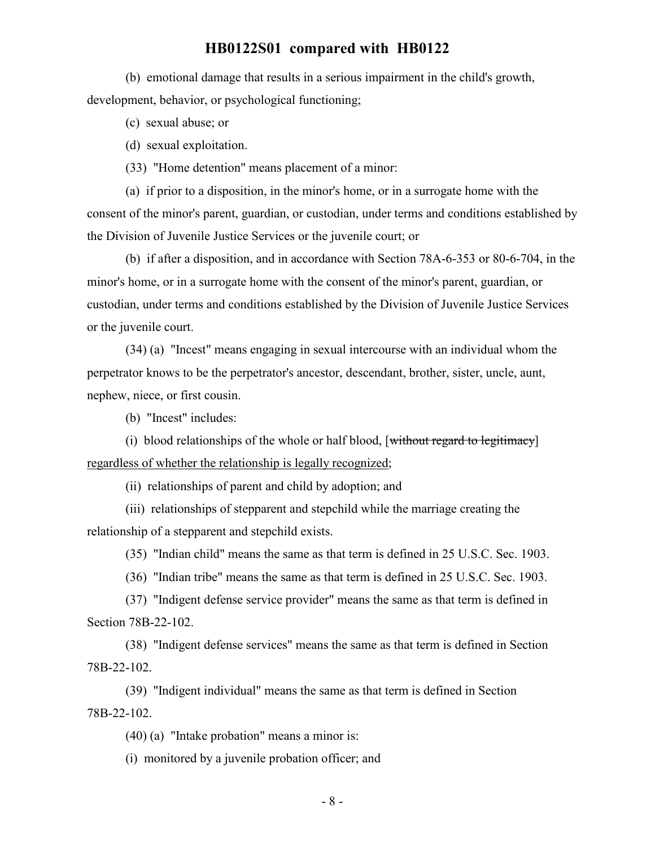(b) emotional damage that results in a serious impairment in the child's growth, development, behavior, or psychological functioning;

(c) sexual abuse; or

(d) sexual exploitation.

(33) "Home detention" means placement of a minor:

(a) if prior to a disposition, in the minor's home, or in a surrogate home with the consent of the minor's parent, guardian, or custodian, under terms and conditions established by the Division of Juvenile Justice Services or the juvenile court; or

(b) if after a disposition, and in accordance with Section 78A-6-353 or 80-6-704, in the minor's home, or in a surrogate home with the consent of the minor's parent, guardian, or custodian, under terms and conditions established by the Division of Juvenile Justice Services or the juvenile court.

(34) (a) "Incest" means engaging in sexual intercourse with an individual whom the perpetrator knows to be the perpetrator's ancestor, descendant, brother, sister, uncle, aunt, nephew, niece, or first cousin.

(b) "Incest" includes:

(i) blood relationships of the whole or half blood,  $[\text{without regard to legitimate}]\$ regardless of whether the relationship is legally recognized;

(ii) relationships of parent and child by adoption; and

(iii) relationships of stepparent and stepchild while the marriage creating the relationship of a stepparent and stepchild exists.

(35) "Indian child" means the same as that term is defined in 25 U.S.C. Sec. 1903.

(36) "Indian tribe" means the same as that term is defined in 25 U.S.C. Sec. 1903.

(37) "Indigent defense service provider" means the same as that term is defined in Section 78B-22-102.

(38) "Indigent defense services" means the same as that term is defined in Section 78B-22-102.

(39) "Indigent individual" means the same as that term is defined in Section 78B-22-102.

(40) (a) "Intake probation" means a minor is:

(i) monitored by a juvenile probation officer; and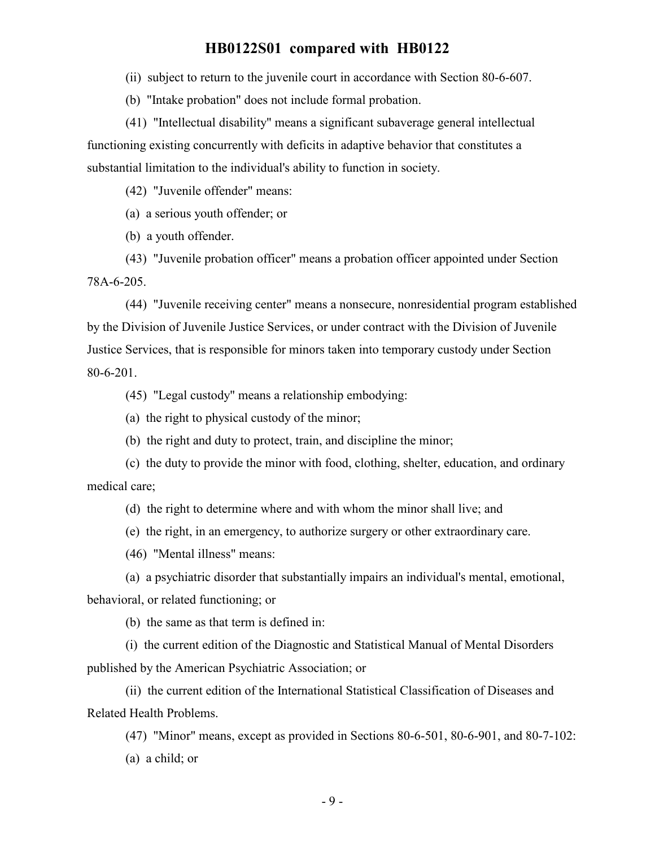(ii) subject to return to the juvenile court in accordance with Section 80-6-607.

(b) "Intake probation" does not include formal probation.

(41) "Intellectual disability" means a significant subaverage general intellectual functioning existing concurrently with deficits in adaptive behavior that constitutes a substantial limitation to the individual's ability to function in society.

(42) "Juvenile offender" means:

(a) a serious youth offender; or

(b) a youth offender.

(43) "Juvenile probation officer" means a probation officer appointed under Section 78A-6-205.

(44) "Juvenile receiving center" means a nonsecure, nonresidential program established by the Division of Juvenile Justice Services, or under contract with the Division of Juvenile Justice Services, that is responsible for minors taken into temporary custody under Section 80-6-201.

(45) "Legal custody" means a relationship embodying:

(a) the right to physical custody of the minor;

(b) the right and duty to protect, train, and discipline the minor;

(c) the duty to provide the minor with food, clothing, shelter, education, and ordinary medical care;

(d) the right to determine where and with whom the minor shall live; and

(e) the right, in an emergency, to authorize surgery or other extraordinary care.

(46) "Mental illness" means:

(a) a psychiatric disorder that substantially impairs an individual's mental, emotional,

behavioral, or related functioning; or

(b) the same as that term is defined in:

(i) the current edition of the Diagnostic and Statistical Manual of Mental Disorders published by the American Psychiatric Association; or

(ii) the current edition of the International Statistical Classification of Diseases and Related Health Problems.

(47) "Minor" means, except as provided in Sections 80-6-501, 80-6-901, and 80-7-102: (a) a child; or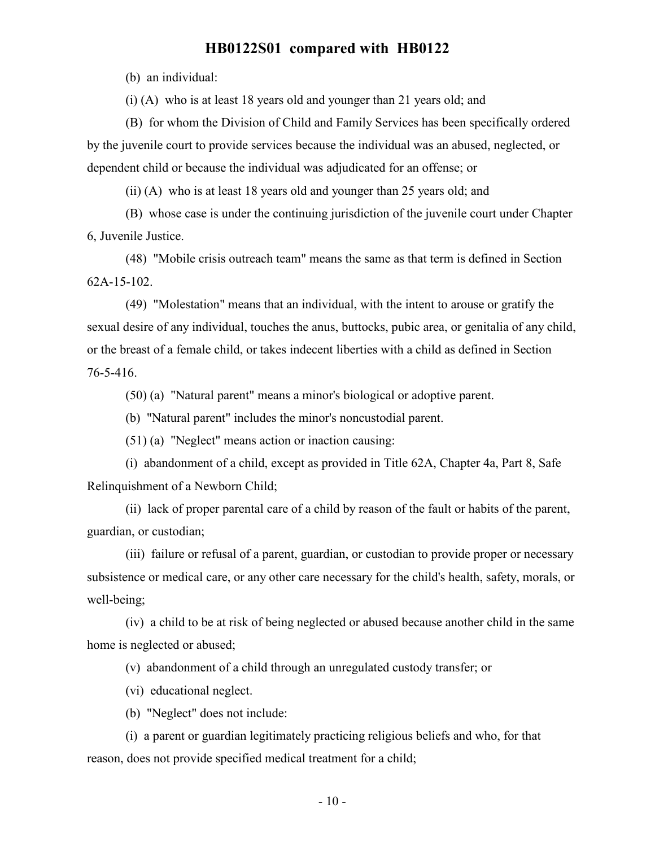(b) an individual:

(i) (A) who is at least 18 years old and younger than 21 years old; and

(B) for whom the Division of Child and Family Services has been specifically ordered by the juvenile court to provide services because the individual was an abused, neglected, or dependent child or because the individual was adjudicated for an offense; or

(ii) (A) who is at least 18 years old and younger than 25 years old; and

(B) whose case is under the continuing jurisdiction of the juvenile court under Chapter 6, Juvenile Justice.

(48) "Mobile crisis outreach team" means the same as that term is defined in Section 62A-15-102.

(49) "Molestation" means that an individual, with the intent to arouse or gratify the sexual desire of any individual, touches the anus, buttocks, pubic area, or genitalia of any child, or the breast of a female child, or takes indecent liberties with a child as defined in Section 76-5-416.

(50) (a) "Natural parent" means a minor's biological or adoptive parent.

(b) "Natural parent" includes the minor's noncustodial parent.

(51) (a) "Neglect" means action or inaction causing:

(i) abandonment of a child, except as provided in Title 62A, Chapter 4a, Part 8, Safe Relinquishment of a Newborn Child;

(ii) lack of proper parental care of a child by reason of the fault or habits of the parent, guardian, or custodian;

(iii) failure or refusal of a parent, guardian, or custodian to provide proper or necessary subsistence or medical care, or any other care necessary for the child's health, safety, morals, or well-being;

(iv) a child to be at risk of being neglected or abused because another child in the same home is neglected or abused;

(v) abandonment of a child through an unregulated custody transfer; or

(vi) educational neglect.

(b) "Neglect" does not include:

(i) a parent or guardian legitimately practicing religious beliefs and who, for that reason, does not provide specified medical treatment for a child;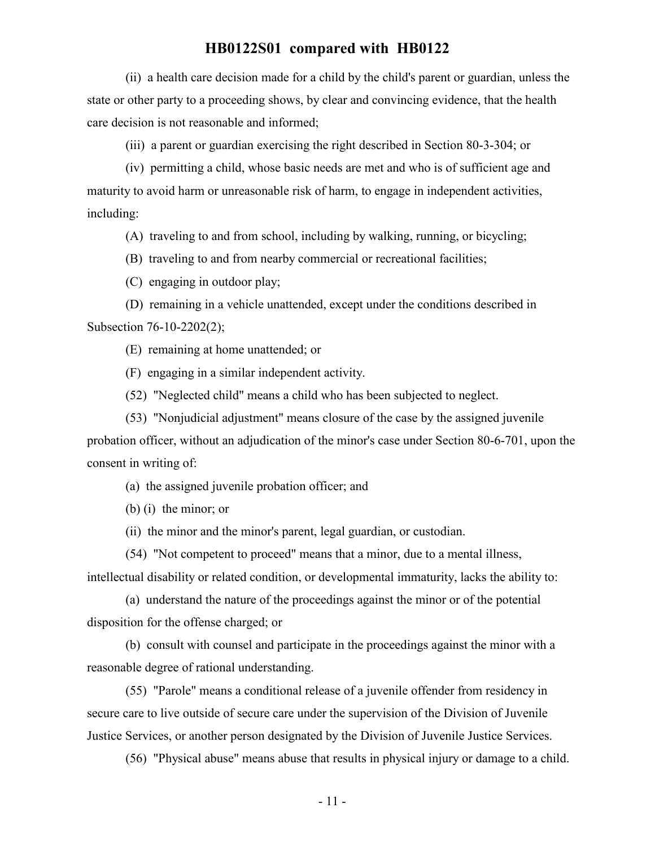(ii) a health care decision made for a child by the child's parent or guardian, unless the state or other party to a proceeding shows, by clear and convincing evidence, that the health care decision is not reasonable and informed;

(iii) a parent or guardian exercising the right described in Section 80-3-304; or

(iv) permitting a child, whose basic needs are met and who is of sufficient age and maturity to avoid harm or unreasonable risk of harm, to engage in independent activities, including:

(A) traveling to and from school, including by walking, running, or bicycling;

(B) traveling to and from nearby commercial or recreational facilities;

(C) engaging in outdoor play;

(D) remaining in a vehicle unattended, except under the conditions described in Subsection 76-10-2202(2);

(E) remaining at home unattended; or

(F) engaging in a similar independent activity.

(52) "Neglected child" means a child who has been subjected to neglect.

(53) "Nonjudicial adjustment" means closure of the case by the assigned juvenile probation officer, without an adjudication of the minor's case under Section 80-6-701, upon the

consent in writing of:

(a) the assigned juvenile probation officer; and

(b) (i) the minor; or

(ii) the minor and the minor's parent, legal guardian, or custodian.

(54) "Not competent to proceed" means that a minor, due to a mental illness, intellectual disability or related condition, or developmental immaturity, lacks the ability to:

(a) understand the nature of the proceedings against the minor or of the potential disposition for the offense charged; or

(b) consult with counsel and participate in the proceedings against the minor with a reasonable degree of rational understanding.

(55) "Parole" means a conditional release of a juvenile offender from residency in secure care to live outside of secure care under the supervision of the Division of Juvenile Justice Services, or another person designated by the Division of Juvenile Justice Services.

(56) "Physical abuse" means abuse that results in physical injury or damage to a child.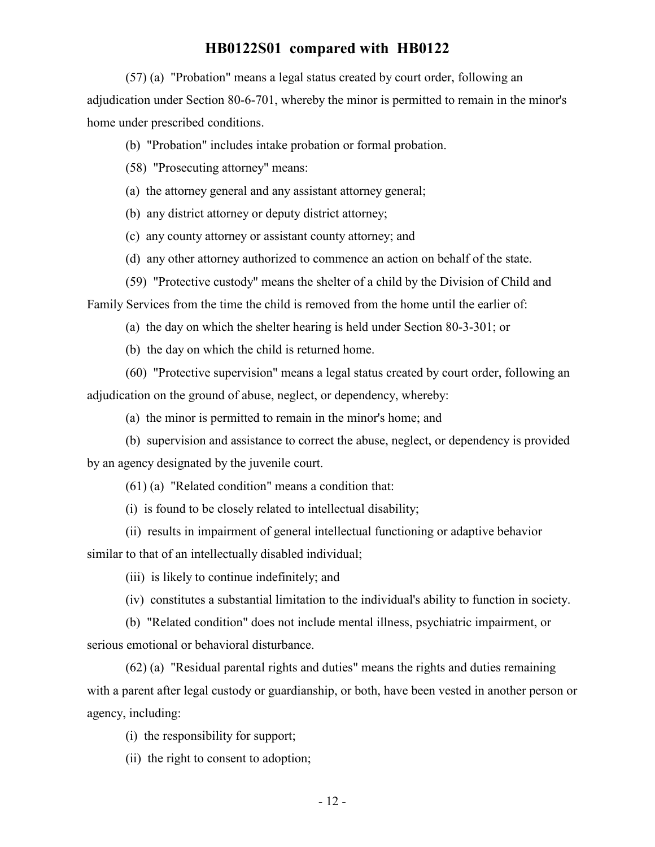(57) (a) "Probation" means a legal status created by court order, following an adjudication under Section 80-6-701, whereby the minor is permitted to remain in the minor's home under prescribed conditions.

(b) "Probation" includes intake probation or formal probation.

(58) "Prosecuting attorney" means:

(a) the attorney general and any assistant attorney general;

(b) any district attorney or deputy district attorney;

(c) any county attorney or assistant county attorney; and

(d) any other attorney authorized to commence an action on behalf of the state.

(59) "Protective custody" means the shelter of a child by the Division of Child and

Family Services from the time the child is removed from the home until the earlier of:

(a) the day on which the shelter hearing is held under Section 80-3-301; or

(b) the day on which the child is returned home.

(60) "Protective supervision" means a legal status created by court order, following an adjudication on the ground of abuse, neglect, or dependency, whereby:

(a) the minor is permitted to remain in the minor's home; and

(b) supervision and assistance to correct the abuse, neglect, or dependency is provided by an agency designated by the juvenile court.

(61) (a) "Related condition" means a condition that:

(i) is found to be closely related to intellectual disability;

(ii) results in impairment of general intellectual functioning or adaptive behavior similar to that of an intellectually disabled individual;

(iii) is likely to continue indefinitely; and

(iv) constitutes a substantial limitation to the individual's ability to function in society.

(b) "Related condition" does not include mental illness, psychiatric impairment, or serious emotional or behavioral disturbance.

(62) (a) "Residual parental rights and duties" means the rights and duties remaining with a parent after legal custody or guardianship, or both, have been vested in another person or agency, including:

(i) the responsibility for support;

(ii) the right to consent to adoption;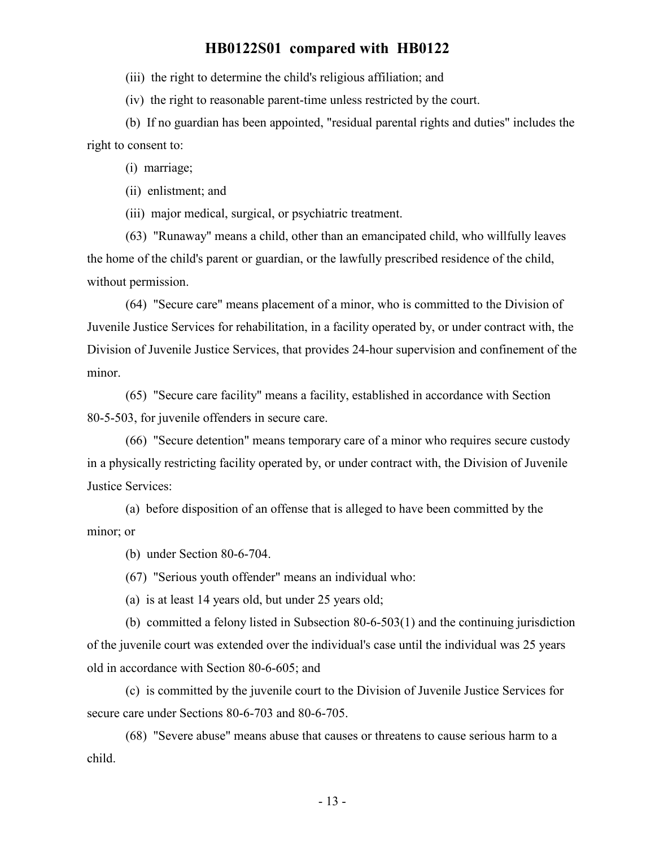(iii) the right to determine the child's religious affiliation; and

(iv) the right to reasonable parent-time unless restricted by the court.

(b) If no guardian has been appointed, "residual parental rights and duties" includes the right to consent to:

(i) marriage;

(ii) enlistment; and

(iii) major medical, surgical, or psychiatric treatment.

(63) "Runaway" means a child, other than an emancipated child, who willfully leaves the home of the child's parent or guardian, or the lawfully prescribed residence of the child, without permission.

(64) "Secure care" means placement of a minor, who is committed to the Division of Juvenile Justice Services for rehabilitation, in a facility operated by, or under contract with, the Division of Juvenile Justice Services, that provides 24-hour supervision and confinement of the minor.

(65) "Secure care facility" means a facility, established in accordance with Section 80-5-503, for juvenile offenders in secure care.

(66) "Secure detention" means temporary care of a minor who requires secure custody in a physically restricting facility operated by, or under contract with, the Division of Juvenile Justice Services:

(a) before disposition of an offense that is alleged to have been committed by the minor; or

(b) under Section 80-6-704.

(67) "Serious youth offender" means an individual who:

(a) is at least 14 years old, but under 25 years old;

(b) committed a felony listed in Subsection 80-6-503(1) and the continuing jurisdiction of the juvenile court was extended over the individual's case until the individual was 25 years old in accordance with Section 80-6-605; and

(c) is committed by the juvenile court to the Division of Juvenile Justice Services for secure care under Sections 80-6-703 and 80-6-705.

(68) "Severe abuse" means abuse that causes or threatens to cause serious harm to a child.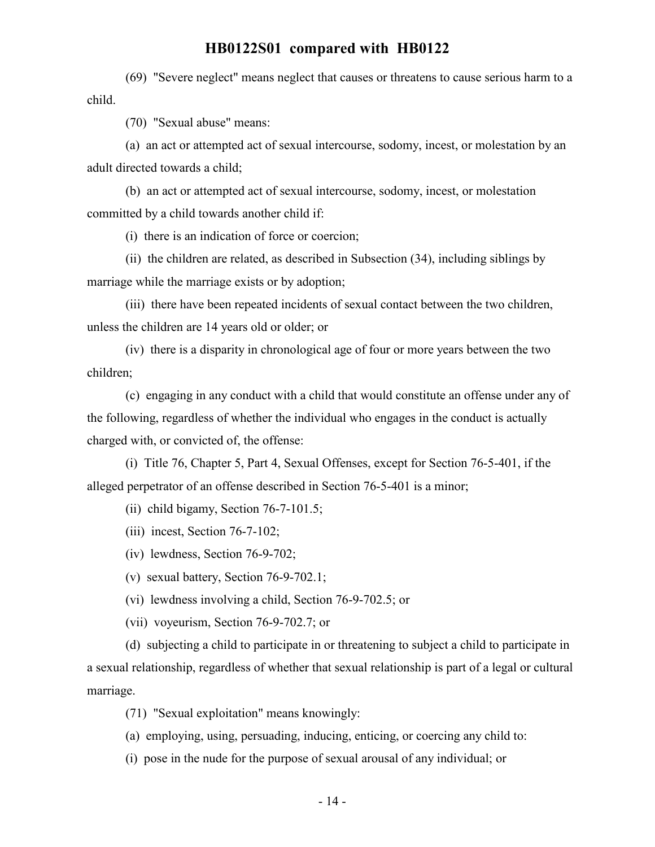(69) "Severe neglect" means neglect that causes or threatens to cause serious harm to a child.

(70) "Sexual abuse" means:

(a) an act or attempted act of sexual intercourse, sodomy, incest, or molestation by an adult directed towards a child;

(b) an act or attempted act of sexual intercourse, sodomy, incest, or molestation committed by a child towards another child if:

(i) there is an indication of force or coercion;

(ii) the children are related, as described in Subsection (34), including siblings by marriage while the marriage exists or by adoption;

(iii) there have been repeated incidents of sexual contact between the two children, unless the children are 14 years old or older; or

(iv) there is a disparity in chronological age of four or more years between the two children;

(c) engaging in any conduct with a child that would constitute an offense under any of the following, regardless of whether the individual who engages in the conduct is actually charged with, or convicted of, the offense:

(i) Title 76, Chapter 5, Part 4, Sexual Offenses, except for Section 76-5-401, if the alleged perpetrator of an offense described in Section 76-5-401 is a minor;

(ii) child bigamy, Section 76-7-101.5;

(iii) incest, Section 76-7-102;

(iv) lewdness, Section 76-9-702;

(v) sexual battery, Section 76-9-702.1;

(vi) lewdness involving a child, Section 76-9-702.5; or

(vii) voyeurism, Section 76-9-702.7; or

(d) subjecting a child to participate in or threatening to subject a child to participate in a sexual relationship, regardless of whether that sexual relationship is part of a legal or cultural marriage.

(71) "Sexual exploitation" means knowingly:

(a) employing, using, persuading, inducing, enticing, or coercing any child to:

(i) pose in the nude for the purpose of sexual arousal of any individual; or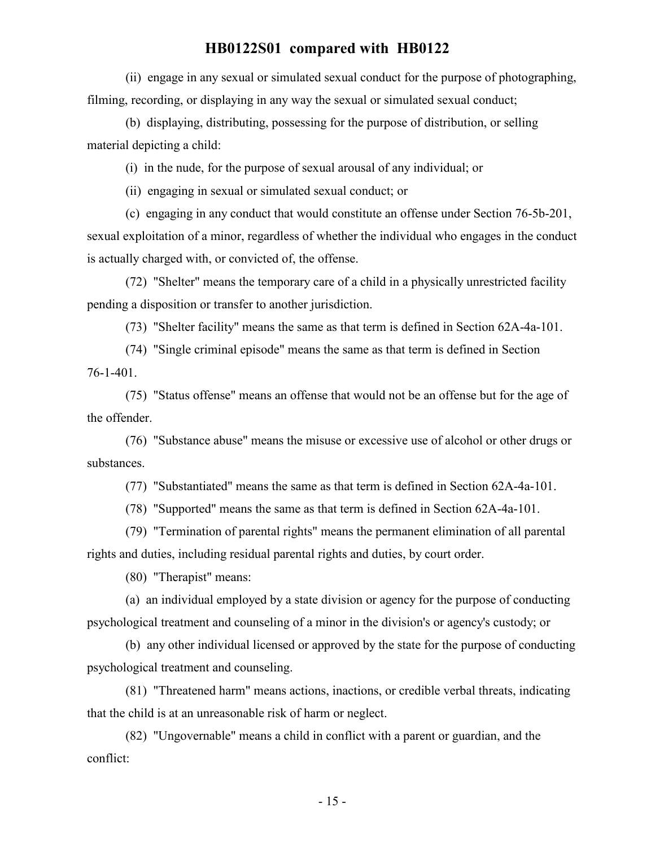(ii) engage in any sexual or simulated sexual conduct for the purpose of photographing, filming, recording, or displaying in any way the sexual or simulated sexual conduct;

(b) displaying, distributing, possessing for the purpose of distribution, or selling material depicting a child:

(i) in the nude, for the purpose of sexual arousal of any individual; or

(ii) engaging in sexual or simulated sexual conduct; or

(c) engaging in any conduct that would constitute an offense under Section 76-5b-201, sexual exploitation of a minor, regardless of whether the individual who engages in the conduct is actually charged with, or convicted of, the offense.

(72) "Shelter" means the temporary care of a child in a physically unrestricted facility pending a disposition or transfer to another jurisdiction.

(73) "Shelter facility" means the same as that term is defined in Section 62A-4a-101.

(74) "Single criminal episode" means the same as that term is defined in Section 76-1-401.

(75) "Status offense" means an offense that would not be an offense but for the age of the offender.

(76) "Substance abuse" means the misuse or excessive use of alcohol or other drugs or substances.

(77) "Substantiated" means the same as that term is defined in Section 62A-4a-101.

(78) "Supported" means the same as that term is defined in Section 62A-4a-101.

(79) "Termination of parental rights" means the permanent elimination of all parental rights and duties, including residual parental rights and duties, by court order.

(80) "Therapist" means:

(a) an individual employed by a state division or agency for the purpose of conducting psychological treatment and counseling of a minor in the division's or agency's custody; or

(b) any other individual licensed or approved by the state for the purpose of conducting psychological treatment and counseling.

(81) "Threatened harm" means actions, inactions, or credible verbal threats, indicating that the child is at an unreasonable risk of harm or neglect.

(82) "Ungovernable" means a child in conflict with a parent or guardian, and the conflict: